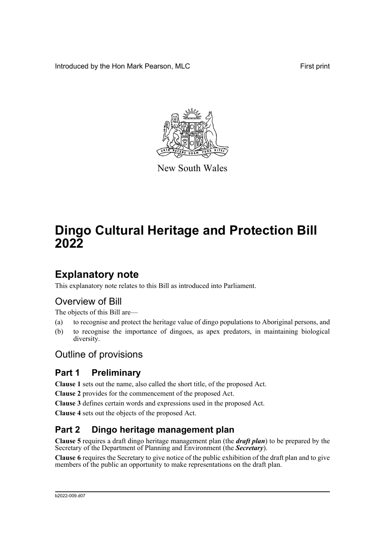Introduced by the Hon Mark Pearson, MLC **First print** First print



New South Wales

# **Dingo Cultural Heritage and Protection Bill 2022**

## **Explanatory note**

This explanatory note relates to this Bill as introduced into Parliament.

### Overview of Bill

The objects of this Bill are—

- (a) to recognise and protect the heritage value of dingo populations to Aboriginal persons, and
- (b) to recognise the importance of dingoes, as apex predators, in maintaining biological diversity.

### Outline of provisions

### **Part 1 Preliminary**

**Clause 1** sets out the name, also called the short title, of the proposed Act.

**Clause 2** provides for the commencement of the proposed Act.

**Clause 3** defines certain words and expressions used in the proposed Act.

**Clause 4** sets out the objects of the proposed Act.

### **Part 2 Dingo heritage management plan**

**Clause 5** requires a draft dingo heritage management plan (the *draft plan*) to be prepared by the Secretary of the Department of Planning and Environment (the *Secretary*).

**Clause 6** requires the Secretary to give notice of the public exhibition of the draft plan and to give members of the public an opportunity to make representations on the draft plan.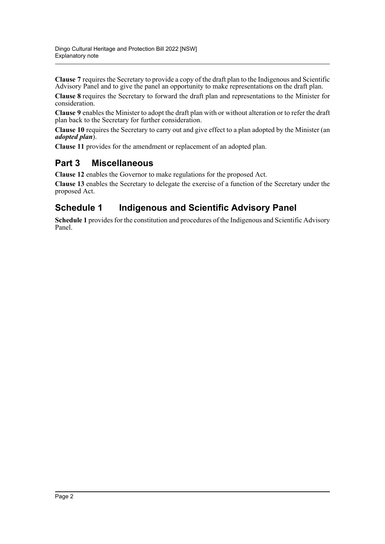**Clause 7** requires the Secretary to provide a copy of the draft plan to the Indigenous and Scientific Advisory Panel and to give the panel an opportunity to make representations on the draft plan.

**Clause 8** requires the Secretary to forward the draft plan and representations to the Minister for consideration.

**Clause 9** enables the Minister to adopt the draft plan with or without alteration or to refer the draft plan back to the Secretary for further consideration.

**Clause 10** requires the Secretary to carry out and give effect to a plan adopted by the Minister (an *adopted plan*).

**Clause 11** provides for the amendment or replacement of an adopted plan.

#### **Part 3 Miscellaneous**

**Clause 12** enables the Governor to make regulations for the proposed Act.

**Clause 13** enables the Secretary to delegate the exercise of a function of the Secretary under the proposed Act.

### **Schedule 1 Indigenous and Scientific Advisory Panel**

**Schedule 1** provides for the constitution and procedures of the Indigenous and Scientific Advisory Panel.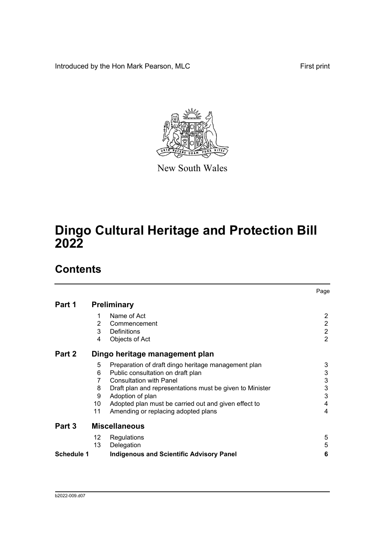Introduced by the Hon Mark Pearson, MLC **First print** First print



New South Wales

## **Dingo Cultural Heritage and Protection Bill 2022**

## **Contents**

|                   |    |                                                          | Page           |
|-------------------|----|----------------------------------------------------------|----------------|
| Part 1            |    | <b>Preliminary</b>                                       |                |
|                   | 1  | Name of Act                                              | 2              |
|                   | 2  | Commencement                                             | $\overline{2}$ |
|                   | 3  | Definitions                                              | $\overline{2}$ |
|                   | 4  | Objects of Act                                           | $\overline{2}$ |
| Part 2            |    | Dingo heritage management plan                           |                |
|                   | 5  | Preparation of draft dingo heritage management plan      | 3              |
|                   | 6  | Public consultation on draft plan                        | 3              |
|                   | 7  | <b>Consultation with Panel</b>                           | 3              |
|                   | 8  | Draft plan and representations must be given to Minister | 3              |
|                   | 9  | Adoption of plan                                         | 3              |
|                   | 10 | Adopted plan must be carried out and given effect to     | 4              |
|                   | 11 | Amending or replacing adopted plans                      | 4              |
| Part 3            |    | <b>Miscellaneous</b>                                     |                |
|                   | 12 | Regulations                                              | 5              |
|                   | 13 | Delegation                                               | 5              |
| <b>Schedule 1</b> |    | <b>Indigenous and Scientific Advisory Panel</b>          | 6              |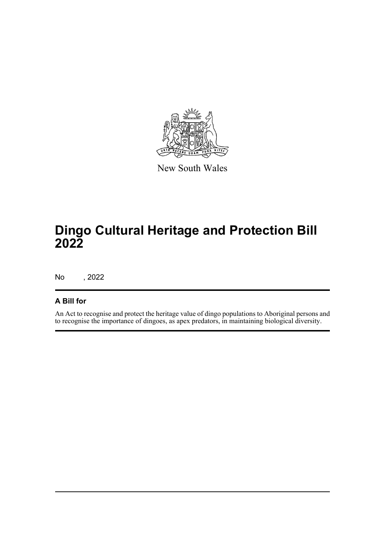

New South Wales

## **Dingo Cultural Heritage and Protection Bill 2022**

No , 2022

#### **A Bill for**

An Act to recognise and protect the heritage value of dingo populations to Aboriginal persons and to recognise the importance of dingoes, as apex predators, in maintaining biological diversity.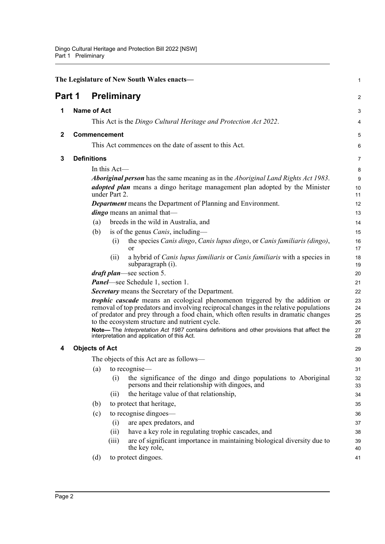<span id="page-4-4"></span><span id="page-4-3"></span><span id="page-4-2"></span><span id="page-4-1"></span><span id="page-4-0"></span>

| <b>Preliminary</b><br>Part 1<br>$\overline{2}$<br><b>Name of Act</b><br>1<br>3<br>This Act is the Dingo Cultural Heritage and Protection Act 2022.<br>4<br><b>Commencement</b><br>$\mathbf{2}$<br>5<br>This Act commences on the date of assent to this Act.<br>6<br><b>Definitions</b><br>3<br>$\overline{7}$<br>In this $Act$ —<br>8<br><b>Aboriginal person</b> has the same meaning as in the <i>Aboriginal Land Rights Act 1983</i> .<br>$9\,$<br><i>adopted plan</i> means a dingo heritage management plan adopted by the Minister<br>10<br>under Part 2.<br>11<br><b>Department</b> means the Department of Planning and Environment.<br>12<br><i>dingo</i> means an animal that—<br>13<br>breeds in the wild in Australia, and<br>(a)<br>14<br>is of the genus <i>Canis</i> , including—<br>(b)<br>15<br>the species Canis dingo, Canis lupus dingo, or Canis familiaris (dingo),<br>(i)<br>16<br>17<br>or<br>a hybrid of <i>Canis lupus familiaris</i> or <i>Canis familiaris</i> with a species in<br>(i)<br>18<br>subparagraph (i).<br>19<br><i>draft plan</i> —see section 5.<br>20<br><b>Panel</b> —see Schedule 1, section 1.<br>21<br><b>Secretary</b> means the Secretary of the Department.<br>22<br>trophic cascade means an ecological phenomenon triggered by the addition or<br>23<br>removal of top predators and involving reciprocal changes in the relative populations<br>24<br>of predator and prey through a food chain, which often results in dramatic changes<br>25<br>to the ecosystem structure and nutrient cycle.<br>26<br>Note-The Interpretation Act 1987 contains definitions and other provisions that affect the<br>27<br>interpretation and application of this Act.<br>28<br><b>Objects of Act</b><br>4<br>29<br>The objects of this Act are as follows—<br>30<br>(a)<br>to recognise—<br>31<br>the significance of the dingo and dingo populations to Aboriginal<br>(i)<br>32<br>persons and their relationship with dingoes, and<br>33<br>the heritage value of that relationship,<br>(ii)<br>34<br>to protect that heritage,<br>(b)<br>35<br>to recognise dingoes-<br>(c)<br>36<br>are apex predators, and<br>(i)<br>37<br>have a key role in regulating trophic cascades, and<br>(ii)<br>38<br>are of significant importance in maintaining biological diversity due to<br>(iii)<br>39<br>the key role,<br>40<br>to protect dingoes.<br>(d)<br>41 |  |  | The Legislature of New South Wales enacts- | $\mathbf 1$ |
|--------------------------------------------------------------------------------------------------------------------------------------------------------------------------------------------------------------------------------------------------------------------------------------------------------------------------------------------------------------------------------------------------------------------------------------------------------------------------------------------------------------------------------------------------------------------------------------------------------------------------------------------------------------------------------------------------------------------------------------------------------------------------------------------------------------------------------------------------------------------------------------------------------------------------------------------------------------------------------------------------------------------------------------------------------------------------------------------------------------------------------------------------------------------------------------------------------------------------------------------------------------------------------------------------------------------------------------------------------------------------------------------------------------------------------------------------------------------------------------------------------------------------------------------------------------------------------------------------------------------------------------------------------------------------------------------------------------------------------------------------------------------------------------------------------------------------------------------------------------------------------------------------------------------------------------------------------------------------------------------------------------------------------------------------------------------------------------------------------------------------------------------------------------------------------------------------------------------------------------------------------------------------------------------------------------------------------------------------------------------------------------------------|--|--|--------------------------------------------|-------------|
|                                                                                                                                                                                                                                                                                                                                                                                                                                                                                                                                                                                                                                                                                                                                                                                                                                                                                                                                                                                                                                                                                                                                                                                                                                                                                                                                                                                                                                                                                                                                                                                                                                                                                                                                                                                                                                                                                                                                                                                                                                                                                                                                                                                                                                                                                                                                                                                                  |  |  |                                            |             |
|                                                                                                                                                                                                                                                                                                                                                                                                                                                                                                                                                                                                                                                                                                                                                                                                                                                                                                                                                                                                                                                                                                                                                                                                                                                                                                                                                                                                                                                                                                                                                                                                                                                                                                                                                                                                                                                                                                                                                                                                                                                                                                                                                                                                                                                                                                                                                                                                  |  |  |                                            |             |
|                                                                                                                                                                                                                                                                                                                                                                                                                                                                                                                                                                                                                                                                                                                                                                                                                                                                                                                                                                                                                                                                                                                                                                                                                                                                                                                                                                                                                                                                                                                                                                                                                                                                                                                                                                                                                                                                                                                                                                                                                                                                                                                                                                                                                                                                                                                                                                                                  |  |  |                                            |             |
|                                                                                                                                                                                                                                                                                                                                                                                                                                                                                                                                                                                                                                                                                                                                                                                                                                                                                                                                                                                                                                                                                                                                                                                                                                                                                                                                                                                                                                                                                                                                                                                                                                                                                                                                                                                                                                                                                                                                                                                                                                                                                                                                                                                                                                                                                                                                                                                                  |  |  |                                            |             |
|                                                                                                                                                                                                                                                                                                                                                                                                                                                                                                                                                                                                                                                                                                                                                                                                                                                                                                                                                                                                                                                                                                                                                                                                                                                                                                                                                                                                                                                                                                                                                                                                                                                                                                                                                                                                                                                                                                                                                                                                                                                                                                                                                                                                                                                                                                                                                                                                  |  |  |                                            |             |
|                                                                                                                                                                                                                                                                                                                                                                                                                                                                                                                                                                                                                                                                                                                                                                                                                                                                                                                                                                                                                                                                                                                                                                                                                                                                                                                                                                                                                                                                                                                                                                                                                                                                                                                                                                                                                                                                                                                                                                                                                                                                                                                                                                                                                                                                                                                                                                                                  |  |  |                                            |             |
|                                                                                                                                                                                                                                                                                                                                                                                                                                                                                                                                                                                                                                                                                                                                                                                                                                                                                                                                                                                                                                                                                                                                                                                                                                                                                                                                                                                                                                                                                                                                                                                                                                                                                                                                                                                                                                                                                                                                                                                                                                                                                                                                                                                                                                                                                                                                                                                                  |  |  |                                            |             |
|                                                                                                                                                                                                                                                                                                                                                                                                                                                                                                                                                                                                                                                                                                                                                                                                                                                                                                                                                                                                                                                                                                                                                                                                                                                                                                                                                                                                                                                                                                                                                                                                                                                                                                                                                                                                                                                                                                                                                                                                                                                                                                                                                                                                                                                                                                                                                                                                  |  |  |                                            |             |
|                                                                                                                                                                                                                                                                                                                                                                                                                                                                                                                                                                                                                                                                                                                                                                                                                                                                                                                                                                                                                                                                                                                                                                                                                                                                                                                                                                                                                                                                                                                                                                                                                                                                                                                                                                                                                                                                                                                                                                                                                                                                                                                                                                                                                                                                                                                                                                                                  |  |  |                                            |             |
|                                                                                                                                                                                                                                                                                                                                                                                                                                                                                                                                                                                                                                                                                                                                                                                                                                                                                                                                                                                                                                                                                                                                                                                                                                                                                                                                                                                                                                                                                                                                                                                                                                                                                                                                                                                                                                                                                                                                                                                                                                                                                                                                                                                                                                                                                                                                                                                                  |  |  |                                            |             |
|                                                                                                                                                                                                                                                                                                                                                                                                                                                                                                                                                                                                                                                                                                                                                                                                                                                                                                                                                                                                                                                                                                                                                                                                                                                                                                                                                                                                                                                                                                                                                                                                                                                                                                                                                                                                                                                                                                                                                                                                                                                                                                                                                                                                                                                                                                                                                                                                  |  |  |                                            |             |
|                                                                                                                                                                                                                                                                                                                                                                                                                                                                                                                                                                                                                                                                                                                                                                                                                                                                                                                                                                                                                                                                                                                                                                                                                                                                                                                                                                                                                                                                                                                                                                                                                                                                                                                                                                                                                                                                                                                                                                                                                                                                                                                                                                                                                                                                                                                                                                                                  |  |  |                                            |             |
|                                                                                                                                                                                                                                                                                                                                                                                                                                                                                                                                                                                                                                                                                                                                                                                                                                                                                                                                                                                                                                                                                                                                                                                                                                                                                                                                                                                                                                                                                                                                                                                                                                                                                                                                                                                                                                                                                                                                                                                                                                                                                                                                                                                                                                                                                                                                                                                                  |  |  |                                            |             |
|                                                                                                                                                                                                                                                                                                                                                                                                                                                                                                                                                                                                                                                                                                                                                                                                                                                                                                                                                                                                                                                                                                                                                                                                                                                                                                                                                                                                                                                                                                                                                                                                                                                                                                                                                                                                                                                                                                                                                                                                                                                                                                                                                                                                                                                                                                                                                                                                  |  |  |                                            |             |
|                                                                                                                                                                                                                                                                                                                                                                                                                                                                                                                                                                                                                                                                                                                                                                                                                                                                                                                                                                                                                                                                                                                                                                                                                                                                                                                                                                                                                                                                                                                                                                                                                                                                                                                                                                                                                                                                                                                                                                                                                                                                                                                                                                                                                                                                                                                                                                                                  |  |  |                                            |             |
|                                                                                                                                                                                                                                                                                                                                                                                                                                                                                                                                                                                                                                                                                                                                                                                                                                                                                                                                                                                                                                                                                                                                                                                                                                                                                                                                                                                                                                                                                                                                                                                                                                                                                                                                                                                                                                                                                                                                                                                                                                                                                                                                                                                                                                                                                                                                                                                                  |  |  |                                            |             |
|                                                                                                                                                                                                                                                                                                                                                                                                                                                                                                                                                                                                                                                                                                                                                                                                                                                                                                                                                                                                                                                                                                                                                                                                                                                                                                                                                                                                                                                                                                                                                                                                                                                                                                                                                                                                                                                                                                                                                                                                                                                                                                                                                                                                                                                                                                                                                                                                  |  |  |                                            |             |
|                                                                                                                                                                                                                                                                                                                                                                                                                                                                                                                                                                                                                                                                                                                                                                                                                                                                                                                                                                                                                                                                                                                                                                                                                                                                                                                                                                                                                                                                                                                                                                                                                                                                                                                                                                                                                                                                                                                                                                                                                                                                                                                                                                                                                                                                                                                                                                                                  |  |  |                                            |             |
|                                                                                                                                                                                                                                                                                                                                                                                                                                                                                                                                                                                                                                                                                                                                                                                                                                                                                                                                                                                                                                                                                                                                                                                                                                                                                                                                                                                                                                                                                                                                                                                                                                                                                                                                                                                                                                                                                                                                                                                                                                                                                                                                                                                                                                                                                                                                                                                                  |  |  |                                            |             |
|                                                                                                                                                                                                                                                                                                                                                                                                                                                                                                                                                                                                                                                                                                                                                                                                                                                                                                                                                                                                                                                                                                                                                                                                                                                                                                                                                                                                                                                                                                                                                                                                                                                                                                                                                                                                                                                                                                                                                                                                                                                                                                                                                                                                                                                                                                                                                                                                  |  |  |                                            |             |
|                                                                                                                                                                                                                                                                                                                                                                                                                                                                                                                                                                                                                                                                                                                                                                                                                                                                                                                                                                                                                                                                                                                                                                                                                                                                                                                                                                                                                                                                                                                                                                                                                                                                                                                                                                                                                                                                                                                                                                                                                                                                                                                                                                                                                                                                                                                                                                                                  |  |  |                                            |             |
|                                                                                                                                                                                                                                                                                                                                                                                                                                                                                                                                                                                                                                                                                                                                                                                                                                                                                                                                                                                                                                                                                                                                                                                                                                                                                                                                                                                                                                                                                                                                                                                                                                                                                                                                                                                                                                                                                                                                                                                                                                                                                                                                                                                                                                                                                                                                                                                                  |  |  |                                            |             |
|                                                                                                                                                                                                                                                                                                                                                                                                                                                                                                                                                                                                                                                                                                                                                                                                                                                                                                                                                                                                                                                                                                                                                                                                                                                                                                                                                                                                                                                                                                                                                                                                                                                                                                                                                                                                                                                                                                                                                                                                                                                                                                                                                                                                                                                                                                                                                                                                  |  |  |                                            |             |
|                                                                                                                                                                                                                                                                                                                                                                                                                                                                                                                                                                                                                                                                                                                                                                                                                                                                                                                                                                                                                                                                                                                                                                                                                                                                                                                                                                                                                                                                                                                                                                                                                                                                                                                                                                                                                                                                                                                                                                                                                                                                                                                                                                                                                                                                                                                                                                                                  |  |  |                                            |             |
|                                                                                                                                                                                                                                                                                                                                                                                                                                                                                                                                                                                                                                                                                                                                                                                                                                                                                                                                                                                                                                                                                                                                                                                                                                                                                                                                                                                                                                                                                                                                                                                                                                                                                                                                                                                                                                                                                                                                                                                                                                                                                                                                                                                                                                                                                                                                                                                                  |  |  |                                            |             |
|                                                                                                                                                                                                                                                                                                                                                                                                                                                                                                                                                                                                                                                                                                                                                                                                                                                                                                                                                                                                                                                                                                                                                                                                                                                                                                                                                                                                                                                                                                                                                                                                                                                                                                                                                                                                                                                                                                                                                                                                                                                                                                                                                                                                                                                                                                                                                                                                  |  |  |                                            |             |
|                                                                                                                                                                                                                                                                                                                                                                                                                                                                                                                                                                                                                                                                                                                                                                                                                                                                                                                                                                                                                                                                                                                                                                                                                                                                                                                                                                                                                                                                                                                                                                                                                                                                                                                                                                                                                                                                                                                                                                                                                                                                                                                                                                                                                                                                                                                                                                                                  |  |  |                                            |             |
|                                                                                                                                                                                                                                                                                                                                                                                                                                                                                                                                                                                                                                                                                                                                                                                                                                                                                                                                                                                                                                                                                                                                                                                                                                                                                                                                                                                                                                                                                                                                                                                                                                                                                                                                                                                                                                                                                                                                                                                                                                                                                                                                                                                                                                                                                                                                                                                                  |  |  |                                            |             |
|                                                                                                                                                                                                                                                                                                                                                                                                                                                                                                                                                                                                                                                                                                                                                                                                                                                                                                                                                                                                                                                                                                                                                                                                                                                                                                                                                                                                                                                                                                                                                                                                                                                                                                                                                                                                                                                                                                                                                                                                                                                                                                                                                                                                                                                                                                                                                                                                  |  |  |                                            |             |
|                                                                                                                                                                                                                                                                                                                                                                                                                                                                                                                                                                                                                                                                                                                                                                                                                                                                                                                                                                                                                                                                                                                                                                                                                                                                                                                                                                                                                                                                                                                                                                                                                                                                                                                                                                                                                                                                                                                                                                                                                                                                                                                                                                                                                                                                                                                                                                                                  |  |  |                                            |             |
|                                                                                                                                                                                                                                                                                                                                                                                                                                                                                                                                                                                                                                                                                                                                                                                                                                                                                                                                                                                                                                                                                                                                                                                                                                                                                                                                                                                                                                                                                                                                                                                                                                                                                                                                                                                                                                                                                                                                                                                                                                                                                                                                                                                                                                                                                                                                                                                                  |  |  |                                            |             |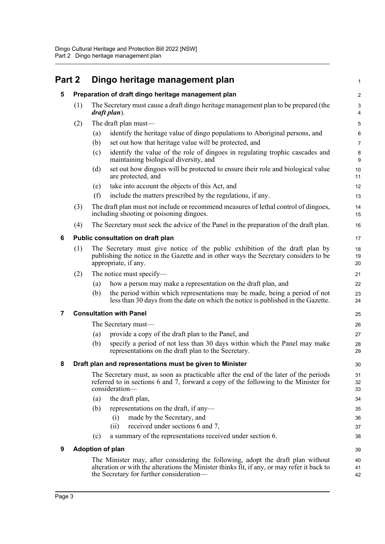<span id="page-5-5"></span><span id="page-5-4"></span><span id="page-5-3"></span><span id="page-5-2"></span><span id="page-5-1"></span><span id="page-5-0"></span>

| Part 2 |     | Dingo heritage management plan                                                                                                                                                                                             | $\mathbf{1}$    |
|--------|-----|----------------------------------------------------------------------------------------------------------------------------------------------------------------------------------------------------------------------------|-----------------|
| 5      |     | Preparation of draft dingo heritage management plan                                                                                                                                                                        | $\overline{c}$  |
|        | (1) | The Secretary must cause a draft dingo heritage management plan to be prepared (the<br>draft plan).                                                                                                                        | 3<br>4          |
|        | (2) | The draft plan must-                                                                                                                                                                                                       | 5               |
|        |     | identify the heritage value of dingo populations to Aboriginal persons, and<br>(a)                                                                                                                                         | $6\phantom{1}6$ |
|        |     | (b)<br>set out how that heritage value will be protected, and                                                                                                                                                              | $\overline{7}$  |
|        |     | identify the value of the role of dingoes in regulating trophic cascades and<br>(c)<br>maintaining biological diversity, and                                                                                               | 8<br>9          |
|        |     | set out how dingoes will be protected to ensure their role and biological value<br>(d)<br>are protected, and                                                                                                               | 10<br>11        |
|        |     | take into account the objects of this Act, and<br>(e)                                                                                                                                                                      | 12              |
|        |     | (f)<br>include the matters prescribed by the regulations, if any.                                                                                                                                                          | 13              |
|        | (3) | The draft plan must not include or recommend measures of lethal control of dingoes,<br>including shooting or poisoning dingoes.                                                                                            | 14<br>15        |
|        | (4) | The Secretary must seek the advice of the Panel in the preparation of the draft plan.                                                                                                                                      | 16              |
| 6      |     | Public consultation on draft plan                                                                                                                                                                                          | 17              |
|        | (1) | The Secretary must give notice of the public exhibition of the draft plan by<br>publishing the notice in the Gazette and in other ways the Secretary considers to be<br>appropriate, if any.                               | 18<br>19<br>20  |
|        | (2) | The notice must specify—                                                                                                                                                                                                   | 21              |
|        |     | how a person may make a representation on the draft plan, and<br>(a)                                                                                                                                                       | 22              |
|        |     | the period within which representations may be made, being a period of not<br>(b)<br>less than 30 days from the date on which the notice is published in the Gazette.                                                      | 23<br>24        |
| 7      |     | <b>Consultation with Panel</b>                                                                                                                                                                                             | 25              |
|        |     | The Secretary must—                                                                                                                                                                                                        | 26              |
|        |     | provide a copy of the draft plan to the Panel, and<br>(a)                                                                                                                                                                  | 27              |
|        |     | specify a period of not less than 30 days within which the Panel may make<br>(b)<br>representations on the draft plan to the Secretary.                                                                                    | 28<br>29        |
| 8      |     | Draft plan and representations must be given to Minister                                                                                                                                                                   | $30\,$          |
|        |     | The Secretary must, as soon as practicable after the end of the later of the periods<br>referred to in sections 6 and 7, forward a copy of the following to the Minister for<br>consideration-                             | 31<br>32<br>33  |
|        |     | the draft plan,<br>(a)                                                                                                                                                                                                     | 34              |
|        |     | (b)<br>representations on the draft, if any—                                                                                                                                                                               | 35              |
|        |     | made by the Secretary, and<br>(i)                                                                                                                                                                                          | 36              |
|        |     | received under sections 6 and 7,<br>(i)                                                                                                                                                                                    | 37              |
|        |     | a summary of the representations received under section 6.<br>(c)                                                                                                                                                          | 38              |
| 9      |     | <b>Adoption of plan</b>                                                                                                                                                                                                    | 39              |
|        |     | The Minister may, after considering the following, adopt the draft plan without<br>alteration or with the alterations the Minister thinks fit, if any, or may refer it back to<br>the Secretary for further consideration— | 40<br>41<br>42  |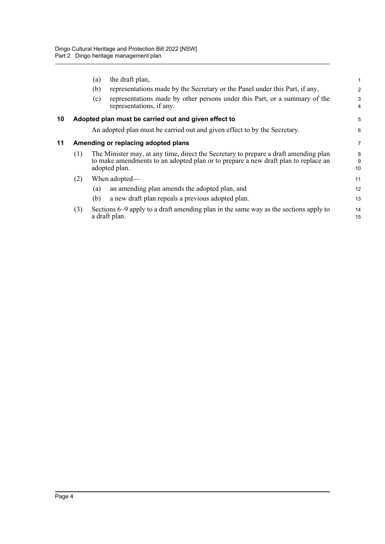<span id="page-6-1"></span><span id="page-6-0"></span>

|    |     | the draft plan,<br>(a)<br>(b)<br>(c)<br>representations, if any. | representations made by the Secretary or the Panel under this Part, if any,<br>representations made by other persons under this Part, or a summary of the                  | 1<br>$\overline{2}$<br>3<br>4 |
|----|-----|------------------------------------------------------------------|----------------------------------------------------------------------------------------------------------------------------------------------------------------------------|-------------------------------|
| 10 |     |                                                                  | Adopted plan must be carried out and given effect to                                                                                                                       | 5                             |
|    |     |                                                                  | An adopted plan must be carried out and given effect to by the Secretary.                                                                                                  | 6                             |
| 11 |     | Amending or replacing adopted plans                              |                                                                                                                                                                            | $\overline{7}$                |
|    | (1) | adopted plan.                                                    | The Minister may, at any time, direct the Secretary to prepare a draft amending plan<br>to make amendments to an adopted plan or to prepare a new draft plan to replace an | 8<br>9<br>10                  |
|    | (2) | When adopted—                                                    |                                                                                                                                                                            | 11                            |
|    |     | (a)                                                              | an amending plan amends the adopted plan, and                                                                                                                              | 12                            |
|    |     | (b)                                                              | a new draft plan repeals a previous adopted plan.                                                                                                                          | 13                            |
|    | (3) | a draft plan.                                                    | Sections 6–9 apply to a draft amending plan in the same way as the sections apply to                                                                                       | 14<br>15                      |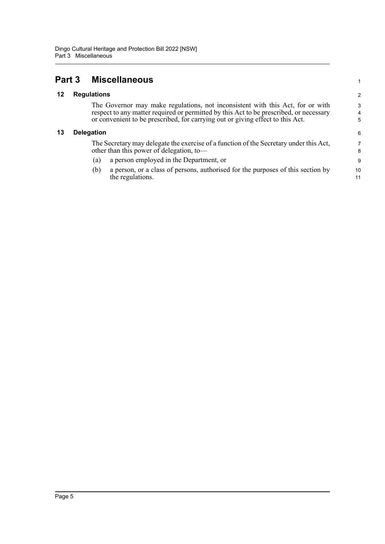<span id="page-7-2"></span><span id="page-7-1"></span><span id="page-7-0"></span>

| Part 3 |                    | <b>Miscellaneous</b>                                                                                                                                                                                                                                       |                          |
|--------|--------------------|------------------------------------------------------------------------------------------------------------------------------------------------------------------------------------------------------------------------------------------------------------|--------------------------|
| 12     | <b>Regulations</b> |                                                                                                                                                                                                                                                            | 2                        |
|        |                    | The Governor may make regulations, not inconsistent with this Act, for or with<br>respect to any matter required or permitted by this Act to be prescribed, or necessary<br>or convenient to be prescribed, for carrying out or giving effect to this Act. | 3<br>$\overline{4}$<br>5 |
| 13     | <b>Delegation</b>  |                                                                                                                                                                                                                                                            | 6                        |
|        |                    | The Secretary may delegate the exercise of a function of the Secretary under this Act,<br>other than this power of delegation, to-                                                                                                                         | 7<br>8                   |
|        | (a)                | a person employed in the Department, or                                                                                                                                                                                                                    | 9                        |
|        | (b)                | a person, or a class of persons, authorised for the purposes of this section by<br>the regulations.                                                                                                                                                        | 10<br>11                 |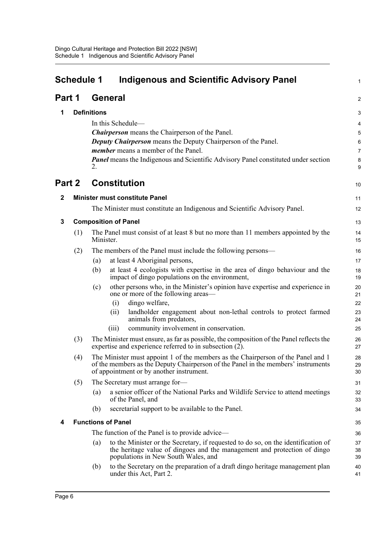<span id="page-8-0"></span>

|              | <b>Schedule 1</b> | <b>Indigenous and Scientific Advisory Panel</b>                                                                                                                                                                   | 1              |
|--------------|-------------------|-------------------------------------------------------------------------------------------------------------------------------------------------------------------------------------------------------------------|----------------|
| Part 1       |                   | <b>General</b>                                                                                                                                                                                                    | $\overline{a}$ |
| 1            |                   | <b>Definitions</b>                                                                                                                                                                                                | 3              |
|              |                   | In this Schedule—                                                                                                                                                                                                 | 4              |
|              |                   | <b>Chairperson</b> means the Chairperson of the Panel.                                                                                                                                                            | 5              |
|              |                   | <b>Deputy Chairperson</b> means the Deputy Chairperson of the Panel.                                                                                                                                              | 6              |
|              |                   | <i>member</i> means a member of the Panel.                                                                                                                                                                        | 7              |
|              |                   | <b>Panel</b> means the Indigenous and Scientific Advisory Panel constituted under section<br>2.                                                                                                                   | 8<br>9         |
|              | Part 2            | <b>Constitution</b>                                                                                                                                                                                               | 10             |
| $\mathbf{2}$ |                   | <b>Minister must constitute Panel</b>                                                                                                                                                                             | 11             |
|              |                   | The Minister must constitute an Indigenous and Scientific Advisory Panel.                                                                                                                                         | 12             |
| 3            |                   | <b>Composition of Panel</b>                                                                                                                                                                                       | 13             |
|              | (1)               | The Panel must consist of at least 8 but no more than 11 members appointed by the<br>Minister.                                                                                                                    | 14<br>15       |
|              | (2)               | The members of the Panel must include the following persons—                                                                                                                                                      | 16             |
|              |                   | at least 4 Aboriginal persons,<br>(a)                                                                                                                                                                             | 17             |
|              |                   | at least 4 ecologists with expertise in the area of dingo behaviour and the<br>(b)<br>impact of dingo populations on the environment,                                                                             | 18<br>19       |
|              |                   | other persons who, in the Minister's opinion have expertise and experience in<br>(c)<br>one or more of the following areas—                                                                                       | 20<br>21       |
|              |                   | dingo welfare,<br>(i)                                                                                                                                                                                             | 22             |
|              |                   | landholder engagement about non-lethal controls to protect farmed<br>(ii)<br>animals from predators,                                                                                                              | 23<br>24       |
|              |                   | community involvement in conservation.<br>(iii)                                                                                                                                                                   | 25             |
|              | (3)               | The Minister must ensure, as far as possible, the composition of the Panel reflects the<br>expertise and experience referred to in subsection (2).                                                                | 26<br>27       |
|              | (4)               | The Minister must appoint 1 of the members as the Chairperson of the Panel and 1<br>of the members as the Deputy Chairperson of the Panel in the members' instruments<br>of appointment or by another instrument. | 28<br>29<br>30 |
|              | (5)               | The Secretary must arrange for-                                                                                                                                                                                   | 31             |
|              |                   | a senior officer of the National Parks and Wildlife Service to attend meetings<br>(a)<br>of the Panel, and                                                                                                        | 32<br>33       |
|              |                   | secretarial support to be available to the Panel.<br>(b)                                                                                                                                                          | 34             |
| 4            |                   | <b>Functions of Panel</b>                                                                                                                                                                                         | 35             |
|              |                   | The function of the Panel is to provide advice—                                                                                                                                                                   | 36             |
|              |                   | to the Minister or the Secretary, if requested to do so, on the identification of<br>(a)<br>the heritage value of dingoes and the management and protection of dingo<br>populations in New South Wales, and       | 37<br>38<br>39 |
|              |                   | to the Secretary on the preparation of a draft dingo heritage management plan<br>(b)<br>under this Act, Part 2.                                                                                                   | 40<br>41       |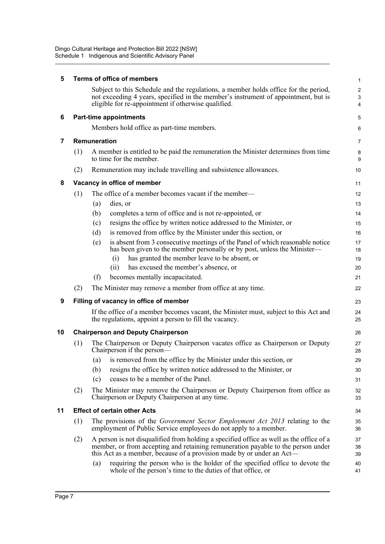| 5  |     | <b>Terms of office of members</b>                                                                                                                                                                                                                                                                                                                | 1                          |  |  |  |  |
|----|-----|--------------------------------------------------------------------------------------------------------------------------------------------------------------------------------------------------------------------------------------------------------------------------------------------------------------------------------------------------|----------------------------|--|--|--|--|
|    |     | Subject to this Schedule and the regulations, a member holds office for the period,<br>not exceeding 4 years, specified in the member's instrument of appointment, but is<br>eligible for re-appointment if otherwise qualified.                                                                                                                 | $\overline{a}$<br>3<br>4   |  |  |  |  |
| 6  |     | <b>Part-time appointments</b>                                                                                                                                                                                                                                                                                                                    | 5                          |  |  |  |  |
|    |     | Members hold office as part-time members.                                                                                                                                                                                                                                                                                                        | 6                          |  |  |  |  |
| 7  |     | Remuneration                                                                                                                                                                                                                                                                                                                                     | 7                          |  |  |  |  |
|    | (1) | A member is entitled to be paid the remuneration the Minister determines from time<br>to time for the member.                                                                                                                                                                                                                                    | 8<br>9                     |  |  |  |  |
|    | (2) | Remuneration may include travelling and subsistence allowances.                                                                                                                                                                                                                                                                                  |                            |  |  |  |  |
| 8  |     | Vacancy in office of member                                                                                                                                                                                                                                                                                                                      | 11                         |  |  |  |  |
|    | (1) | The office of a member becomes vacant if the member-<br>dies, or<br>(a)<br>completes a term of office and is not re-appointed, or<br>(b)<br>resigns the office by written notice addressed to the Minister, or<br>(c)                                                                                                                            | 12<br>13<br>14<br>15       |  |  |  |  |
|    |     | is removed from office by the Minister under this section, or<br>(d)<br>is absent from 3 consecutive meetings of the Panel of which reasonable notice<br>(e)<br>has been given to the member personally or by post, unless the Minister-<br>has granted the member leave to be absent, or<br>(i)<br>has excused the member's absence, or<br>(ii) | 16<br>17<br>18<br>19<br>20 |  |  |  |  |
|    |     | (f)<br>becomes mentally incapacitated.                                                                                                                                                                                                                                                                                                           | 21                         |  |  |  |  |
|    | (2) | The Minister may remove a member from office at any time.                                                                                                                                                                                                                                                                                        | 22                         |  |  |  |  |
| 9  |     | Filling of vacancy in office of member                                                                                                                                                                                                                                                                                                           | 23                         |  |  |  |  |
|    |     | If the office of a member becomes vacant, the Minister must, subject to this Act and<br>the regulations, appoint a person to fill the vacancy.                                                                                                                                                                                                   | 24<br>25                   |  |  |  |  |
| 10 |     | <b>Chairperson and Deputy Chairperson</b>                                                                                                                                                                                                                                                                                                        | 26                         |  |  |  |  |
|    | (1) | The Chairperson or Deputy Chairperson vacates office as Chairperson or Deputy<br>Chairperson if the person—                                                                                                                                                                                                                                      | 27<br>28                   |  |  |  |  |
|    |     | is removed from the office by the Minister under this section, or<br>(a)                                                                                                                                                                                                                                                                         | 29                         |  |  |  |  |
|    |     | resigns the office by written notice addressed to the Minister, or<br>(b)                                                                                                                                                                                                                                                                        | 30                         |  |  |  |  |
|    |     | ceases to be a member of the Panel.<br>(c)                                                                                                                                                                                                                                                                                                       | 31                         |  |  |  |  |
|    | (2) | The Minister may remove the Chairperson or Deputy Chairperson from office as<br>Chairperson or Deputy Chairperson at any time.                                                                                                                                                                                                                   | 32<br>33                   |  |  |  |  |
| 11 |     | <b>Effect of certain other Acts</b>                                                                                                                                                                                                                                                                                                              | 34                         |  |  |  |  |
|    | (1) | The provisions of the Government Sector Employment Act 2013 relating to the<br>employment of Public Service employees do not apply to a member.                                                                                                                                                                                                  | 35<br>36                   |  |  |  |  |
|    | (2) | A person is not disqualified from holding a specified office as well as the office of a<br>member, or from accepting and retaining remuneration payable to the person under<br>this Act as a member, because of a provision made by or under an Act—                                                                                             | 37<br>38<br>39             |  |  |  |  |
|    |     | requiring the person who is the holder of the specified office to devote the<br>(a)<br>whole of the person's time to the duties of that office, or                                                                                                                                                                                               | 40<br>41                   |  |  |  |  |
|    |     |                                                                                                                                                                                                                                                                                                                                                  |                            |  |  |  |  |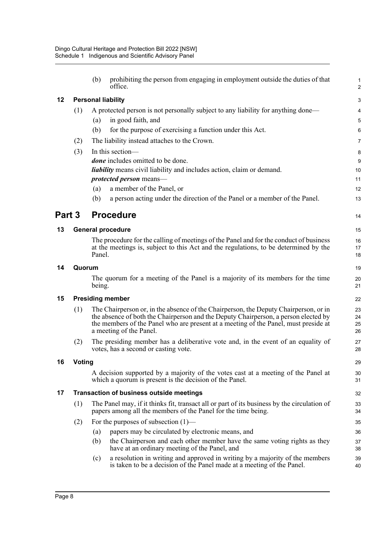|        |        | (b)    | prohibiting the person from engaging in employment outside the duties of that<br>office.                                                                                                                                                                                                      | $\mathbf{1}$<br>$\overline{2}$ |  |
|--------|--------|--------|-----------------------------------------------------------------------------------------------------------------------------------------------------------------------------------------------------------------------------------------------------------------------------------------------|--------------------------------|--|
| 12     |        |        | <b>Personal liability</b>                                                                                                                                                                                                                                                                     | 3                              |  |
|        | (1)    |        | A protected person is not personally subject to any liability for anything done—                                                                                                                                                                                                              | 4                              |  |
|        |        | (a)    | in good faith, and                                                                                                                                                                                                                                                                            | 5                              |  |
|        |        | (b)    | for the purpose of exercising a function under this Act.                                                                                                                                                                                                                                      | 6                              |  |
|        | (2)    |        | The liability instead attaches to the Crown.                                                                                                                                                                                                                                                  | 7                              |  |
|        | (3)    |        | In this section-                                                                                                                                                                                                                                                                              | 8                              |  |
|        |        |        | <i>done</i> includes omitted to be done.                                                                                                                                                                                                                                                      | 9                              |  |
|        |        |        | <i>liability</i> means civil liability and includes action, claim or demand.                                                                                                                                                                                                                  | 10                             |  |
|        |        |        | protected person means-                                                                                                                                                                                                                                                                       | 11                             |  |
|        |        | (a)    | a member of the Panel, or                                                                                                                                                                                                                                                                     | 12                             |  |
|        |        | (b)    | a person acting under the direction of the Panel or a member of the Panel.                                                                                                                                                                                                                    | 13                             |  |
| Part 3 |        |        | <b>Procedure</b>                                                                                                                                                                                                                                                                              | 14                             |  |
| 13     |        |        | <b>General procedure</b>                                                                                                                                                                                                                                                                      | 15                             |  |
|        |        | Panel. | The procedure for the calling of meetings of the Panel and for the conduct of business<br>at the meetings is, subject to this Act and the regulations, to be determined by the                                                                                                                | 16<br>17<br>18                 |  |
| 14     |        | Quorum |                                                                                                                                                                                                                                                                                               |                                |  |
|        |        | being. | The quorum for a meeting of the Panel is a majority of its members for the time                                                                                                                                                                                                               | 20<br>21                       |  |
| 15     |        |        | <b>Presiding member</b>                                                                                                                                                                                                                                                                       | 22                             |  |
|        | (1)    |        | The Chairperson or, in the absence of the Chairperson, the Deputy Chairperson, or in<br>the absence of both the Chairperson and the Deputy Chairperson, a person elected by<br>the members of the Panel who are present at a meeting of the Panel, must preside at<br>a meeting of the Panel. | 23<br>24<br>25<br>26           |  |
|        | (2)    |        | The presiding member has a deliberative vote and, in the event of an equality of<br>votes, has a second or casting vote.                                                                                                                                                                      | 27<br>28                       |  |
| 16     | Voting |        |                                                                                                                                                                                                                                                                                               | 29                             |  |
|        |        |        | A decision supported by a majority of the votes cast at a meeting of the Panel at<br>which a quorum is present is the decision of the Panel.                                                                                                                                                  | 30<br>31                       |  |
| 17     |        |        | <b>Transaction of business outside meetings</b>                                                                                                                                                                                                                                               | 32                             |  |
|        | (1)    |        | The Panel may, if it thinks fit, transact all or part of its business by the circulation of<br>papers among all the members of the Panel for the time being.                                                                                                                                  | 33<br>34                       |  |
|        | (2)    |        | For the purposes of subsection $(1)$ —                                                                                                                                                                                                                                                        | 35                             |  |
|        |        | (a)    | papers may be circulated by electronic means, and                                                                                                                                                                                                                                             | 36                             |  |
|        |        | (b)    | the Chairperson and each other member have the same voting rights as they<br>have at an ordinary meeting of the Panel, and                                                                                                                                                                    | 37<br>38                       |  |
|        |        | (c)    | a resolution in writing and approved in writing by a majority of the members<br>is taken to be a decision of the Panel made at a meeting of the Panel.                                                                                                                                        | 39<br>40                       |  |